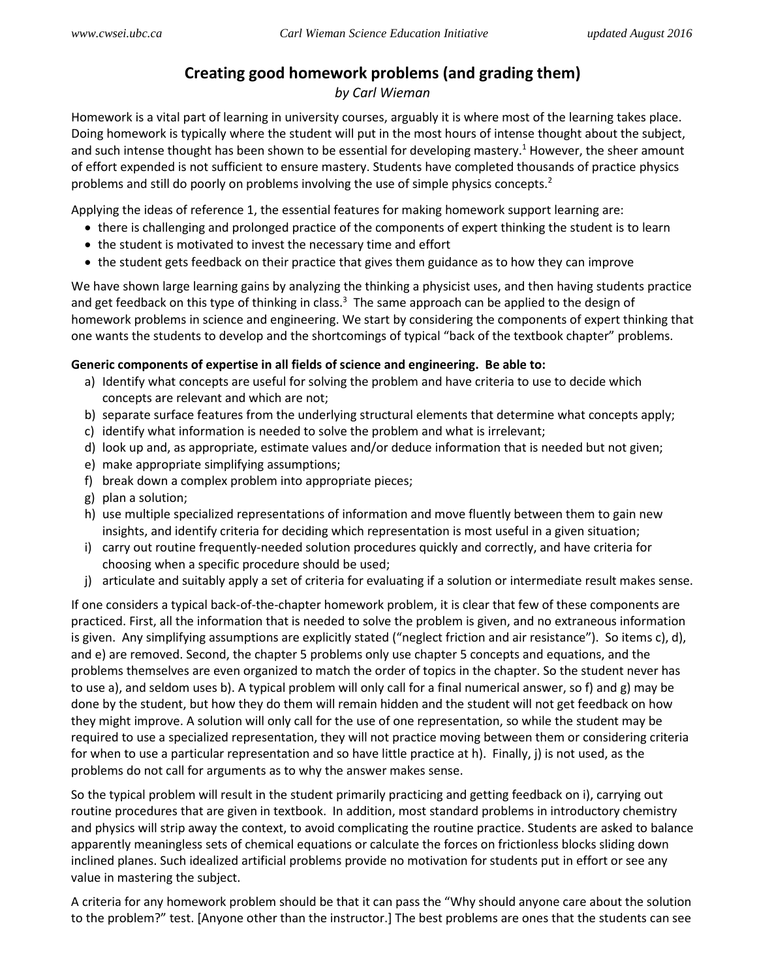# **Creating good homework problems (and grading them)**

## *by Carl Wieman*

Homework is a vital part of learning in university courses, arguably it is where most of the learning takes place. Doing homework is typically where the student will put in the most hours of intense thought about the subject, and such intense thought has been shown to be essential for developing mastery.<sup>1</sup> However, the sheer amount of effort expended is not sufficient to ensure mastery. Students have completed thousands of practice physics problems and still do poorly on problems involving the use of simple physics concepts.<sup>2</sup>

Applying the ideas of reference 1, the essential features for making homework support learning are:

- there is challenging and prolonged practice of the components of expert thinking the student is to learn
- the student is motivated to invest the necessary time and effort
- the student gets feedback on their practice that gives them guidance as to how they can improve

We have shown large learning gains by analyzing the thinking a physicist uses, and then having students practice and get feedback on this type of thinking in class.<sup>3</sup> The same approach can be applied to the design of homework problems in science and engineering. We start by considering the components of expert thinking that one wants the students to develop and the shortcomings of typical "back of the textbook chapter" problems.

### **Generic components of expertise in all fields of science and engineering. Be able to:**

- a) Identify what concepts are useful for solving the problem and have criteria to use to decide which concepts are relevant and which are not;
- b) separate surface features from the underlying structural elements that determine what concepts apply;
- c) identify what information is needed to solve the problem and what is irrelevant;
- d) look up and, as appropriate, estimate values and/or deduce information that is needed but not given;
- e) make appropriate simplifying assumptions;
- f) break down a complex problem into appropriate pieces;
- g) plan a solution;
- h) use multiple specialized representations of information and move fluently between them to gain new insights, and identify criteria for deciding which representation is most useful in a given situation;
- i) carry out routine frequently-needed solution procedures quickly and correctly, and have criteria for choosing when a specific procedure should be used;
- j) articulate and suitably apply a set of criteria for evaluating if a solution or intermediate result makes sense.

If one considers a typical back-of-the-chapter homework problem, it is clear that few of these components are practiced. First, all the information that is needed to solve the problem is given, and no extraneous information is given. Any simplifying assumptions are explicitly stated ("neglect friction and air resistance"). So items c), d), and e) are removed. Second, the chapter 5 problems only use chapter 5 concepts and equations, and the problems themselves are even organized to match the order of topics in the chapter. So the student never has to use a), and seldom uses b). A typical problem will only call for a final numerical answer, so f) and g) may be done by the student, but how they do them will remain hidden and the student will not get feedback on how they might improve. A solution will only call for the use of one representation, so while the student may be required to use a specialized representation, they will not practice moving between them or considering criteria for when to use a particular representation and so have little practice at h). Finally, j) is not used, as the problems do not call for arguments as to why the answer makes sense.

So the typical problem will result in the student primarily practicing and getting feedback on i), carrying out routine procedures that are given in textbook. In addition, most standard problems in introductory chemistry and physics will strip away the context, to avoid complicating the routine practice. Students are asked to balance apparently meaningless sets of chemical equations or calculate the forces on frictionless blocks sliding down inclined planes. Such idealized artificial problems provide no motivation for students put in effort or see any value in mastering the subject.

A criteria for any homework problem should be that it can pass the "Why should anyone care about the solution to the problem?" test. [Anyone other than the instructor.] The best problems are ones that the students can see